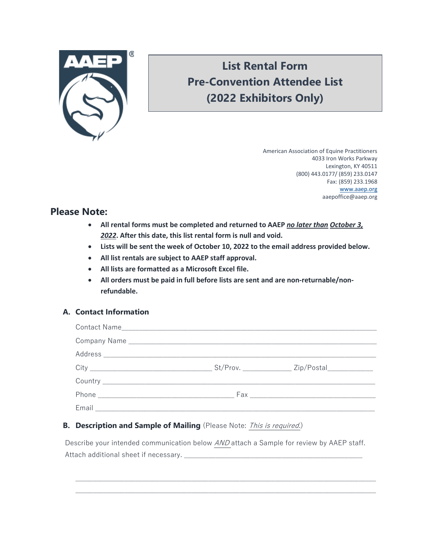

# **List Rental Form Pre-Convention Attendee List (2022 Exhibitors Only)**

 American Association of Equine Practitioners 4033 Iron Works Parkway Lexington, KY 40511 (800) 443.0177/ (859) 233.0147 Fax: (859) 233.1968 [www.aaep.org](http://www.aaep.org/) aaepoffice@aaep.org

## **Please Note:**

- **All rental forms must be completed and returned to AAEP** *no later than October 3, 2022***. After this date, this list rental form is null and void.**
- **Lists will be sent the week of October 10, 2022 to the email address provided below.**
- **All list rentals are subject to AAEP staff approval.**
- **All lists are formatted as a Microsoft Excel file.**
- **All orders must be paid in full before lists are sent and are non-returnable/nonrefundable.**

## **A. Contact Information**

## **B.** Description and Sample of Mailing (Please Note: This is required.)

Describe your intended communication below AND attach a Sample for review by AAEP staff. Attach additional sheet if necessary. \_\_\_\_\_\_\_\_\_\_\_\_\_\_\_\_\_\_\_\_\_\_\_\_\_\_\_\_\_\_\_\_\_\_\_\_\_\_\_\_\_\_\_\_\_\_\_\_\_\_\_

\_\_\_\_\_\_\_\_\_\_\_\_\_\_\_\_\_\_\_\_\_\_\_\_\_\_\_\_\_\_\_\_\_\_\_\_\_\_\_\_\_\_\_\_\_\_\_\_\_\_\_\_\_\_\_\_\_\_\_\_\_\_\_\_\_\_\_\_\_\_\_\_\_\_\_\_\_\_\_\_\_\_\_\_\_\_  $\_$  , and the set of the set of the set of the set of the set of the set of the set of the set of the set of the set of the set of the set of the set of the set of the set of the set of the set of the set of the set of th